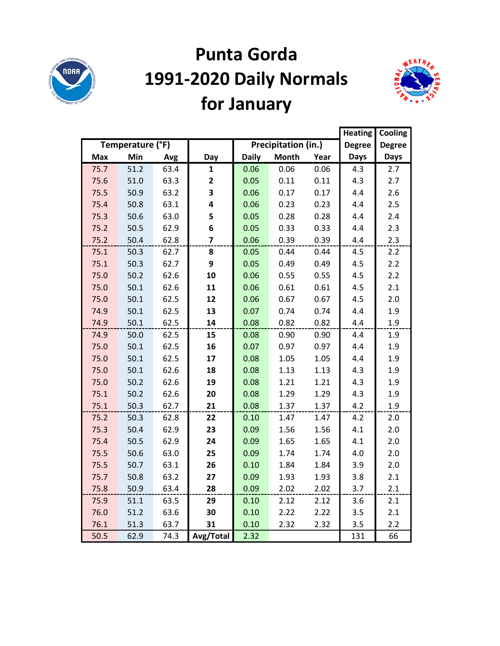

# **Punta Gorda 1991-2020 Daily Normals for January**



|      |                  |      |                         |              |                            |      | <b>Heating</b> | Cooling       |
|------|------------------|------|-------------------------|--------------|----------------------------|------|----------------|---------------|
|      | Temperature (°F) |      |                         |              | <b>Precipitation (in.)</b> |      | <b>Degree</b>  | <b>Degree</b> |
| Max  | Min              | Avg  | Day                     | <b>Daily</b> | <b>Month</b>               | Year | <b>Days</b>    | <b>Days</b>   |
| 75.7 | 51.2             | 63.4 | $\mathbf{1}$            | 0.06         | 0.06                       | 0.06 | 4.3            | 2.7           |
| 75.6 | 51.0             | 63.3 | $\mathbf{2}$            | 0.05         | 0.11                       | 0.11 | 4.3            | 2.7           |
| 75.5 | 50.9             | 63.2 | 3                       | 0.06         | 0.17                       | 0.17 | 4.4            | 2.6           |
| 75.4 | 50.8             | 63.1 | 4                       | 0.06         | 0.23                       | 0.23 | 4.4            | 2.5           |
| 75.3 | 50.6             | 63.0 | 5                       | 0.05         | 0.28                       | 0.28 | 4.4            | 2.4           |
| 75.2 | 50.5             | 62.9 | 6                       | 0.05         | 0.33                       | 0.33 | 4.4            | 2.3           |
| 75.2 | 50.4             | 62.8 | $\overline{\mathbf{z}}$ | 0.06         | 0.39                       | 0.39 | 4.4            | 2.3           |
| 75.1 | 50.3             | 62.7 | 8                       | 0.05         | 0.44                       | 0.44 | 4.5            | 2.2           |
| 75.1 | 50.3             | 62.7 | 9                       | 0.05         | 0.49                       | 0.49 | 4.5            | 2.2           |
| 75.0 | 50.2             | 62.6 | 10                      | 0.06         | 0.55                       | 0.55 | 4.5            | 2.2           |
| 75.0 | 50.1             | 62.6 | 11                      | 0.06         | 0.61                       | 0.61 | 4.5            | 2.1           |
| 75.0 | 50.1             | 62.5 | 12                      | 0.06         | 0.67                       | 0.67 | 4.5            | 2.0           |
| 74.9 | 50.1             | 62.5 | 13                      | 0.07         | 0.74                       | 0.74 | 4.4            | 1.9           |
| 74.9 | 50.1             | 62.5 | 14                      | 0.08         | 0.82                       | 0.82 | 4.4            | 1.9           |
| 74.9 | 50.0             | 62.5 | 15                      | 0.08         | 0.90                       | 0.90 | 4.4            | 1.9           |
| 75.0 | 50.1             | 62.5 | 16                      | 0.07         | 0.97                       | 0.97 | 4.4            | 1.9           |
| 75.0 | 50.1             | 62.5 | 17                      | 0.08         | 1.05                       | 1.05 | 4.4            | 1.9           |
| 75.0 | 50.1             | 62.6 | 18                      | 0.08         | 1.13                       | 1.13 | 4.3            | 1.9           |
| 75.0 | 50.2             | 62.6 | 19                      | 0.08         | 1.21                       | 1.21 | 4.3            | 1.9           |
| 75.1 | 50.2             | 62.6 | 20                      | 0.08         | 1.29                       | 1.29 | 4.3            | 1.9           |
| 75.1 | 50.3             | 62.7 | 21                      | 0.08         | 1.37                       | 1.37 | 4.2            | 1.9           |
| 75.2 | 50.3             | 62.8 | 22                      | 0.10         | 1.47                       | 1.47 | 4.2            | 2.0           |
| 75.3 | 50.4             | 62.9 | 23                      | 0.09         | 1.56                       | 1.56 | 4.1            | 2.0           |
| 75.4 | 50.5             | 62.9 | 24                      | 0.09         | 1.65                       | 1.65 | 4.1            | 2.0           |
| 75.5 | 50.6             | 63.0 | 25                      | 0.09         | 1.74                       | 1.74 | 4.0            | 2.0           |
| 75.5 | 50.7             | 63.1 | 26                      | 0.10         | 1.84                       | 1.84 | 3.9            | 2.0           |
| 75.7 | 50.8             | 63.2 | 27                      | 0.09         | 1.93                       | 1.93 | 3.8            | 2.1           |
| 75.8 | 50.9             | 63.4 | 28                      | 0.09         | 2.02                       | 2.02 | 3.7            | 2.1           |
| 75.9 | 51.1             | 63.5 | 29                      | 0.10         | 2.12                       | 2.12 | 3.6            | 2.1           |
| 76.0 | 51.2             | 63.6 | 30                      | 0.10         | 2.22                       | 2.22 | 3.5            | 2.1           |
| 76.1 | 51.3             | 63.7 | 31                      | 0.10         | 2.32                       | 2.32 | 3.5            | 2.2           |
| 50.5 | 62.9             | 74.3 | Avg/Total               | 2.32         |                            |      | 131            | 66            |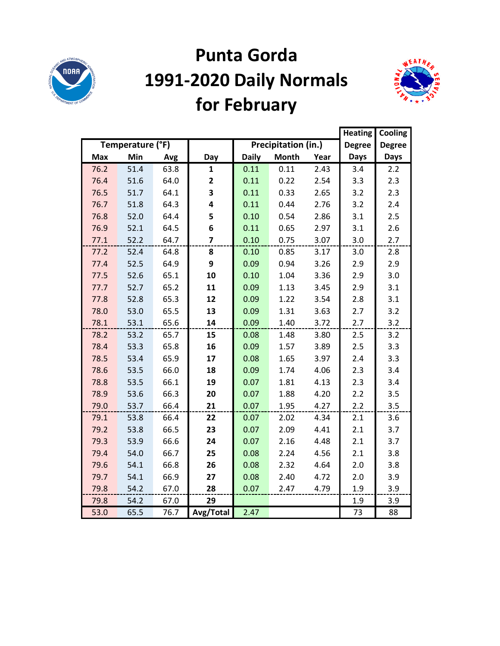

## **Punta Gorda 1991-2020 Daily Normals for February**



|            |                  |      |                         |              |                     |      |               | Cooling       |
|------------|------------------|------|-------------------------|--------------|---------------------|------|---------------|---------------|
|            | Temperature (°F) |      |                         |              | Precipitation (in.) |      | <b>Degree</b> | <b>Degree</b> |
| <b>Max</b> | Min              | Avg  | Day                     | <b>Daily</b> | <b>Month</b>        | Year | <b>Days</b>   | <b>Days</b>   |
| 76.2       | 51.4             | 63.8 | $\mathbf{1}$            | 0.11         | 0.11                | 2.43 | 3.4           | 2.2           |
| 76.4       | 51.6             | 64.0 | $\overline{\mathbf{2}}$ | 0.11         | 0.22                | 2.54 | 3.3           | 2.3           |
| 76.5       | 51.7             | 64.1 | 3                       | 0.11         | 0.33                | 2.65 | 3.2           | 2.3           |
| 76.7       | 51.8             | 64.3 | 4                       | 0.11         | 0.44                | 2.76 | 3.2           | 2.4           |
| 76.8       | 52.0             | 64.4 | 5                       | 0.10         | 0.54                | 2.86 | 3.1           | 2.5           |
| 76.9       | 52.1             | 64.5 | 6                       | 0.11         | 0.65                | 2.97 | 3.1           | 2.6           |
| 77.1       | 52.2             | 64.7 | $\overline{\mathbf{z}}$ | 0.10         | 0.75                | 3.07 | 3.0           | 2.7           |
| 77.2       | 52.4             | 64.8 | 8                       | 0.10         | 0.85                | 3.17 | 3.0           | 2.8           |
| 77.4       | 52.5             | 64.9 | 9                       | 0.09         | 0.94                | 3.26 | 2.9           | 2.9           |
| 77.5       | 52.6             | 65.1 | 10                      | 0.10         | 1.04                | 3.36 | 2.9           | 3.0           |
| 77.7       | 52.7             | 65.2 | 11                      | 0.09         | 1.13                | 3.45 | 2.9           | 3.1           |
| 77.8       | 52.8             | 65.3 | 12                      | 0.09         | 1.22                | 3.54 | 2.8           | 3.1           |
| 78.0       | 53.0             | 65.5 | 13                      | 0.09         | 1.31                | 3.63 | 2.7           | 3.2           |
| 78.1       | 53.1             | 65.6 | 14                      | 0.09         | 1.40                | 3.72 | 2.7           | 3.2           |
| 78.2       | 53.2             | 65.7 | 15                      | 0.08         | 1.48                | 3.80 | 2.5           | 3.2           |
| 78.4       | 53.3             | 65.8 | 16                      | 0.09         | 1.57                | 3.89 | 2.5           | 3.3           |
| 78.5       | 53.4             | 65.9 | 17                      | 0.08         | 1.65                | 3.97 | 2.4           | 3.3           |
| 78.6       | 53.5             | 66.0 | 18                      | 0.09         | 1.74                | 4.06 | 2.3           | 3.4           |
| 78.8       | 53.5             | 66.1 | 19                      | 0.07         | 1.81                | 4.13 | 2.3           | 3.4           |
| 78.9       | 53.6             | 66.3 | 20                      | 0.07         | 1.88                | 4.20 | 2.2           | 3.5           |
| 79.0       | 53.7             | 66.4 | 21                      | 0.07         | 1.95                | 4.27 | 2.2           | 3.5           |
| 79.1       | 53.8             | 66.4 | 22                      | 0.07         | 2.02                | 4.34 | 2.1           | 3.6           |
| 79.2       | 53.8             | 66.5 | 23                      | 0.07         | 2.09                | 4.41 | 2.1           | 3.7           |
| 79.3       | 53.9             | 66.6 | 24                      | 0.07         | 2.16                | 4.48 | 2.1           | 3.7           |
| 79.4       | 54.0             | 66.7 | 25                      | 0.08         | 2.24                | 4.56 | 2.1           | 3.8           |
| 79.6       | 54.1             | 66.8 | 26                      | 0.08         | 2.32                | 4.64 | 2.0           | 3.8           |
| 79.7       | 54.1             | 66.9 | 27                      | 0.08         | 2.40                | 4.72 | 2.0           | 3.9           |
| 79.8       | 54.2             | 67.0 | 28                      | 0.07         | 2.47                | 4.79 | 1.9           | 3.9           |
| 79.8       | 54.2             | 67.0 | 29                      |              |                     |      | 1.9           | 3.9           |
| 53.0       | 65.5             | 76.7 | Avg/Total               | 2.47         |                     |      | 73            | 88            |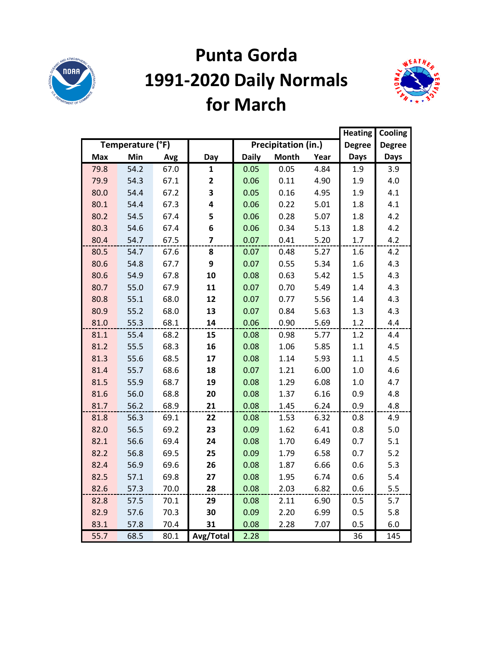

### **Punta Gorda 1991-2020 Daily Normals for March**



|            |                  |      |                         |              |                     |      |               | Cooling       |
|------------|------------------|------|-------------------------|--------------|---------------------|------|---------------|---------------|
|            | Temperature (°F) |      |                         |              | Precipitation (in.) |      | <b>Degree</b> | <b>Degree</b> |
| <b>Max</b> | Min              | Avg  | Day                     | <b>Daily</b> | <b>Month</b>        | Year | <b>Days</b>   | <b>Days</b>   |
| 79.8       | 54.2             | 67.0 | $\mathbf{1}$            | 0.05         | 0.05                | 4.84 | 1.9           | 3.9           |
| 79.9       | 54.3             | 67.1 | $\mathbf{2}$            | 0.06         | 0.11                | 4.90 | 1.9           | 4.0           |
| 80.0       | 54.4             | 67.2 | 3                       | 0.05         | 0.16                | 4.95 | 1.9           | 4.1           |
| 80.1       | 54.4             | 67.3 | 4                       | 0.06         | 0.22                | 5.01 | 1.8           | 4.1           |
| 80.2       | 54.5             | 67.4 | 5                       | 0.06         | 0.28                | 5.07 | 1.8           | 4.2           |
| 80.3       | 54.6             | 67.4 | 6                       | 0.06         | 0.34                | 5.13 | 1.8           | 4.2           |
| 80.4       | 54.7             | 67.5 | $\overline{\mathbf{z}}$ | 0.07         | 0.41                | 5.20 | 1.7           | 4.2           |
| 80.5       | 54.7             | 67.6 | 8                       | 0.07         | 0.48                | 5.27 | 1.6           | 4.2           |
| 80.6       | 54.8             | 67.7 | 9                       | 0.07         | 0.55                | 5.34 | 1.6           | 4.3           |
| 80.6       | 54.9             | 67.8 | 10                      | 0.08         | 0.63                | 5.42 | 1.5           | 4.3           |
| 80.7       | 55.0             | 67.9 | 11                      | 0.07         | 0.70                | 5.49 | 1.4           | 4.3           |
| 80.8       | 55.1             | 68.0 | 12                      | 0.07         | 0.77                | 5.56 | 1.4           | 4.3           |
| 80.9       | 55.2             | 68.0 | 13                      | 0.07         | 0.84                | 5.63 | 1.3           | 4.3           |
| 81.0       | 55.3             | 68.1 | 14                      | 0.06         | 0.90                | 5.69 | 1.2           | 4.4           |
| 81.1       | 55.4             | 68.2 | 15                      | 0.08         | 0.98                | 5.77 | 1.2           | 4.4           |
| 81.2       | 55.5             | 68.3 | 16                      | 0.08         | 1.06                | 5.85 | 1.1           | 4.5           |
| 81.3       | 55.6             | 68.5 | 17                      | 0.08         | 1.14                | 5.93 | 1.1           | 4.5           |
| 81.4       | 55.7             | 68.6 | 18                      | 0.07         | 1.21                | 6.00 | 1.0           | 4.6           |
| 81.5       | 55.9             | 68.7 | 19                      | 0.08         | 1.29                | 6.08 | 1.0           | 4.7           |
| 81.6       | 56.0             | 68.8 | 20                      | 0.08         | 1.37                | 6.16 | 0.9           | 4.8           |
| 81.7       | 56.2             | 68.9 | 21                      | 0.08         | 1.45                | 6.24 | 0.9           | 4.8           |
| 81.8       | 56.3             | 69.1 | 22                      | 0.08         | 1.53                | 6.32 | 0.8           | 4.9           |
| 82.0       | 56.5             | 69.2 | 23                      | 0.09         | 1.62                | 6.41 | 0.8           | 5.0           |
| 82.1       | 56.6             | 69.4 | 24                      | 0.08         | 1.70                | 6.49 | 0.7           | 5.1           |
| 82.2       | 56.8             | 69.5 | 25                      | 0.09         | 1.79                | 6.58 | 0.7           | 5.2           |
| 82.4       | 56.9             | 69.6 | 26                      | 0.08         | 1.87                | 6.66 | 0.6           | 5.3           |
| 82.5       | 57.1             | 69.8 | 27                      | 0.08         | 1.95                | 6.74 | 0.6           | 5.4           |
| 82.6       | 57.3             | 70.0 | 28                      | 0.08         | 2.03                | 6.82 | 0.6           | 5.5           |
| 82.8       | 57.5             | 70.1 | 29                      | 0.08         | 2.11                | 6.90 | 0.5           | 5.7           |
| 82.9       | 57.6             | 70.3 | 30                      | 0.09         | 2.20                | 6.99 | 0.5           | 5.8           |
| 83.1       | 57.8             | 70.4 | 31                      | 0.08         | 2.28                | 7.07 | 0.5           | 6.0           |
| 55.7       | 68.5             | 80.1 | Avg/Total               | 2.28         |                     |      | 36            | 145           |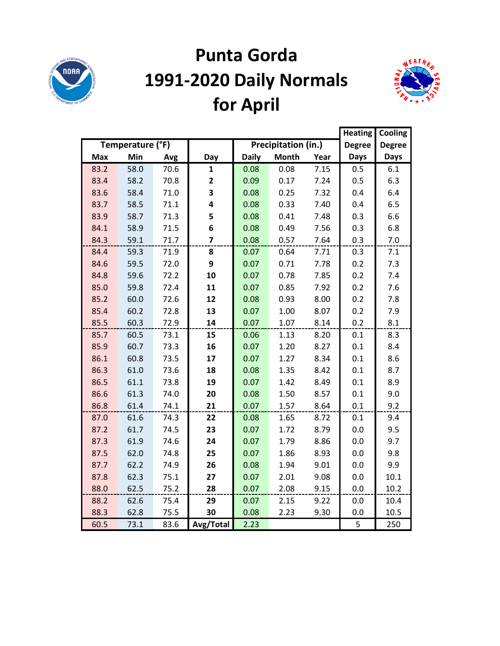

# **Punta Gorda 1991-2020 Daily Normals for April**



|            |                  |      |                |              |                     |      | <b>Heating</b> | Cooling       |
|------------|------------------|------|----------------|--------------|---------------------|------|----------------|---------------|
|            | Temperature (°F) |      |                |              | Precipitation (in.) |      | <b>Degree</b>  | <b>Degree</b> |
| <b>Max</b> | Min              | Avg  | Day            | <b>Daily</b> | <b>Month</b>        | Year | <b>Days</b>    | <b>Days</b>   |
| 83.2       | 58.0             | 70.6 | $\mathbf{1}$   | 0.08         | 0.08                | 7.15 | 0.5            | 6.1           |
| 83.4       | 58.2             | 70.8 | 2              | 0.09         | 0.17                | 7.24 | 0.5            | 6.3           |
| 83.6       | 58.4             | 71.0 | 3              | 0.08         | 0.25                | 7.32 | 0.4            | 6.4           |
| 83.7       | 58.5             | 71.1 | 4              | 0.08         | 0.33                | 7.40 | 0.4            | 6.5           |
| 83.9       | 58.7             | 71.3 | 5              | 0.08         | 0.41                | 7.48 | 0.3            | 6.6           |
| 84.1       | 58.9             | 71.5 | 6              | 0.08         | 0.49                | 7.56 | 0.3            | 6.8           |
| 84.3       | 59.1             | 71.7 | $\overline{7}$ | 0.08         | 0.57                | 7.64 | 0.3            | 7.0           |
| 84.4       | 59.3             | 71.9 | 8              | 0.07         | 0.64                | 7.71 | 0.3            | 7.1           |
| 84.6       | 59.5             | 72.0 | 9              | 0.07         | 0.71                | 7.78 | 0.2            | 7.3           |
| 84.8       | 59.6             | 72.2 | 10             | 0.07         | 0.78                | 7.85 | 0.2            | 7.4           |
| 85.0       | 59.8             | 72.4 | 11             | 0.07         | 0.85                | 7.92 | 0.2            | 7.6           |
| 85.2       | 60.0             | 72.6 | 12             | 0.08         | 0.93                | 8.00 | 0.2            | 7.8           |
| 85.4       | 60.2             | 72.8 | 13             | 0.07         | 1.00                | 8.07 | 0.2            | 7.9           |
| 85.5       | 60.3             | 72.9 | 14             | 0.07         | 1.07                | 8.14 | 0.2            | 8.1           |
| 85.7       | 60.5             | 73.1 | 15             | 0.06         | 1.13                | 8.20 | 0.1            | 8.3           |
| 85.9       | 60.7             | 73.3 | 16             | 0.07         | 1.20                | 8.27 | 0.1            | 8.4           |
| 86.1       | 60.8             | 73.5 | 17             | 0.07         | 1.27                | 8.34 | 0.1            | 8.6           |
| 86.3       | 61.0             | 73.6 | 18             | 0.08         | 1.35                | 8.42 | 0.1            | 8.7           |
| 86.5       | 61.1             | 73.8 | 19             | 0.07         | 1.42                | 8.49 | 0.1            | 8.9           |
| 86.6       | 61.3             | 74.0 | 20             | 0.08         | 1.50                | 8.57 | 0.1            | 9.0           |
| 86.8       | 61.4             | 74.1 | 21             | 0.07         | 1.57                | 8.64 | 0.1            | 9.2           |
| 87.0       | 61.6             | 74.3 | 22             | 0.08         | 1.65                | 8.72 | 0.1            | 9.4           |
| 87.2       | 61.7             | 74.5 | 23             | 0.07         | 1.72                | 8.79 | 0.0            | 9.5           |
| 87.3       | 61.9             | 74.6 | 24             | 0.07         | 1.79                | 8.86 | 0.0            | 9.7           |
| 87.5       | 62.0             | 74.8 | 25             | 0.07         | 1.86                | 8.93 | 0.0            | 9.8           |
| 87.7       | 62.2             | 74.9 | 26             | 0.08         | 1.94                | 9.01 | 0.0            | 9.9           |
| 87.8       | 62.3             | 75.1 | 27             | 0.07         | 2.01                | 9.08 | 0.0            | 10.1          |
| 88.0       | 62.5             | 75.2 | 28             | 0.07         | 2.08                | 9.15 | 0.0            | 10.2          |
| 88.2       | 62.6             | 75.4 | 29             | 0.07         | 2.15                | 9.22 | 0.0            | 10.4          |
| 88.3       | 62.8             | 75.5 | 30             | 0.08         | 2.23                | 9.30 | 0.0            | 10.5          |
| 60.5       | 73.1             | 83.6 | Avg/Total      | 2.23         |                     |      | 5              | 250           |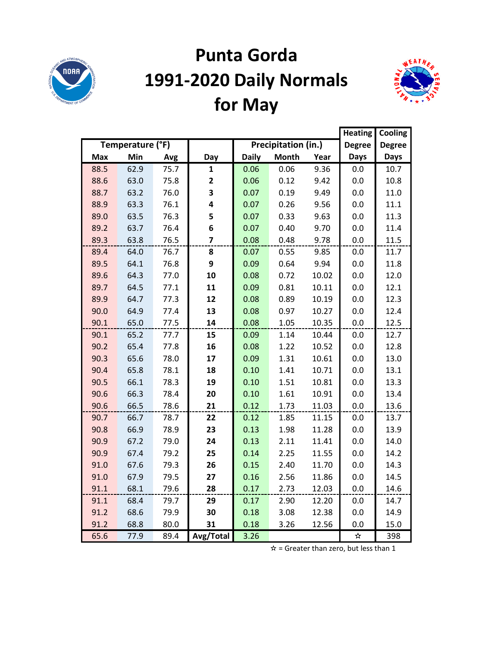

# **Punta Gorda 1991-2020 Daily Normals for May**



|            |                  |      |                         |              |                     |       |               | Cooling       |
|------------|------------------|------|-------------------------|--------------|---------------------|-------|---------------|---------------|
|            | Temperature (°F) |      |                         |              | Precipitation (in.) |       | <b>Degree</b> | <b>Degree</b> |
| <b>Max</b> | Min              | Avg  | Day                     | <b>Daily</b> | <b>Month</b>        | Year  | <b>Days</b>   | Days          |
| 88.5       | 62.9             | 75.7 | $\mathbf{1}$            | 0.06         | 0.06                | 9.36  | 0.0           | 10.7          |
| 88.6       | 63.0             | 75.8 | $\mathbf{2}$            | 0.06         | 0.12                | 9.42  | 0.0           | 10.8          |
| 88.7       | 63.2             | 76.0 | 3                       | 0.07         | 0.19                | 9.49  | 0.0           | 11.0          |
| 88.9       | 63.3             | 76.1 | 4                       | 0.07         | 0.26                | 9.56  | 0.0           | 11.1          |
| 89.0       | 63.5             | 76.3 | 5                       | 0.07         | 0.33                | 9.63  | 0.0           | 11.3          |
| 89.2       | 63.7             | 76.4 | 6                       | 0.07         | 0.40                | 9.70  | 0.0           | 11.4          |
| 89.3       | 63.8             | 76.5 | $\overline{\mathbf{z}}$ | 0.08         | 0.48                | 9.78  | 0.0           | 11.5          |
| 89.4       | 64.0             | 76.7 | 8                       | 0.07         | 0.55                | 9.85  | 0.0           | 11.7          |
| 89.5       | 64.1             | 76.8 | 9                       | 0.09         | 0.64                | 9.94  | 0.0           | 11.8          |
| 89.6       | 64.3             | 77.0 | 10                      | 0.08         | 0.72                | 10.02 | 0.0           | 12.0          |
| 89.7       | 64.5             | 77.1 | 11                      | 0.09         | 0.81                | 10.11 | 0.0           | 12.1          |
| 89.9       | 64.7             | 77.3 | 12                      | 0.08         | 0.89                | 10.19 | 0.0           | 12.3          |
| 90.0       | 64.9             | 77.4 | 13                      | 0.08         | 0.97                | 10.27 | 0.0           | 12.4          |
| 90.1       | 65.0             | 77.5 | 14                      | 0.08         | 1.05                | 10.35 | 0.0           | 12.5          |
| 90.1       | 65.2             | 77.7 | 15                      | 0.09         | 1.14                | 10.44 | 0.0           | 12.7          |
| 90.2       | 65.4             | 77.8 | 16                      | 0.08         | 1.22                | 10.52 | 0.0           | 12.8          |
| 90.3       | 65.6             | 78.0 | 17                      | 0.09         | 1.31                | 10.61 | 0.0           | 13.0          |
| 90.4       | 65.8             | 78.1 | 18                      | 0.10         | 1.41                | 10.71 | 0.0           | 13.1          |
| 90.5       | 66.1             | 78.3 | 19                      | 0.10         | 1.51                | 10.81 | 0.0           | 13.3          |
| 90.6       | 66.3             | 78.4 | 20                      | 0.10         | 1.61                | 10.91 | 0.0           | 13.4          |
| 90.6       | 66.5             | 78.6 | 21                      | 0.12         | 1.73                | 11.03 | 0.0           | 13.6          |
| 90.7       | 66.7             | 78.7 | 22                      | 0.12         | 1.85                | 11.15 | 0.0           | 13.7          |
| 90.8       | 66.9             | 78.9 | 23                      | 0.13         | 1.98                | 11.28 | 0.0           | 13.9          |
| 90.9       | 67.2             | 79.0 | 24                      | 0.13         | 2.11                | 11.41 | 0.0           | 14.0          |
| 90.9       | 67.4             | 79.2 | 25                      | 0.14         | 2.25                | 11.55 | 0.0           | 14.2          |
| 91.0       | 67.6             | 79.3 | 26                      | 0.15         | 2.40                | 11.70 | 0.0           | 14.3          |
| 91.0       | 67.9             | 79.5 | 27                      | 0.16         | 2.56                | 11.86 | 0.0           | 14.5          |
| 91.1       | 68.1             | 79.6 | 28                      | 0.17         | 2.73                | 12.03 | 0.0           | 14.6          |
| 91.1       | 68.4             | 79.7 | 29                      | 0.17         | 2.90                | 12.20 | 0.0           | 14.7          |
| 91.2       | 68.6             | 79.9 | 30                      | 0.18         | 3.08                | 12.38 | 0.0           | 14.9          |
| 91.2       | 68.8             | 80.0 | 31                      | 0.18         | 3.26                | 12.56 | 0.0           | 15.0          |
| 65.6       | 77.9             | 89.4 | Avg/Total               | 3.26         |                     |       | ☆             | 398           |

 $\hat{x}$  = Greater than zero, but less than 1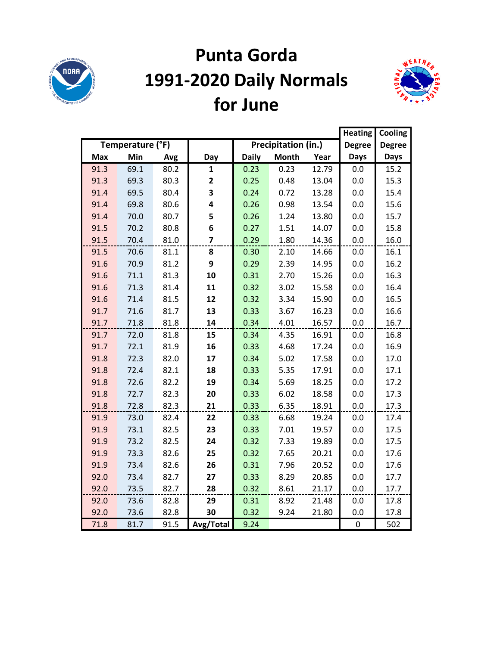

## **Punta Gorda 1991-2020 Daily Normals for June**



|            |                  |      |                |              |                     |       |               | Cooling       |
|------------|------------------|------|----------------|--------------|---------------------|-------|---------------|---------------|
|            | Temperature (°F) |      |                |              | Precipitation (in.) |       | <b>Degree</b> | <b>Degree</b> |
| <b>Max</b> | Min              | Avg  | Day            | <b>Daily</b> | <b>Month</b>        | Year  | <b>Days</b>   | <b>Days</b>   |
| 91.3       | 69.1             | 80.2 | $\mathbf{1}$   | 0.23         | 0.23                | 12.79 | 0.0           | 15.2          |
| 91.3       | 69.3             | 80.3 | 2              | 0.25         | 0.48                | 13.04 | 0.0           | 15.3          |
| 91.4       | 69.5             | 80.4 | 3              | 0.24         | 0.72                | 13.28 | 0.0           | 15.4          |
| 91.4       | 69.8             | 80.6 | 4              | 0.26         | 0.98                | 13.54 | 0.0           | 15.6          |
| 91.4       | 70.0             | 80.7 | 5              | 0.26         | 1.24                | 13.80 | 0.0           | 15.7          |
| 91.5       | 70.2             | 80.8 | 6              | 0.27         | 1.51                | 14.07 | 0.0           | 15.8          |
| 91.5       | 70.4             | 81.0 | $\overline{7}$ | 0.29         | 1.80                | 14.36 | 0.0           | 16.0          |
| 91.5       | 70.6             | 81.1 | 8              | 0.30         | 2.10                | 14.66 | 0.0           | 16.1          |
| 91.6       | 70.9             | 81.2 | 9              | 0.29         | 2.39                | 14.95 | 0.0           | 16.2          |
| 91.6       | 71.1             | 81.3 | 10             | 0.31         | 2.70                | 15.26 | 0.0           | 16.3          |
| 91.6       | 71.3             | 81.4 | 11             | 0.32         | 3.02                | 15.58 | $0.0\,$       | 16.4          |
| 91.6       | 71.4             | 81.5 | 12             | 0.32         | 3.34                | 15.90 | 0.0           | 16.5          |
| 91.7       | 71.6             | 81.7 | 13             | 0.33         | 3.67                | 16.23 | 0.0           | 16.6          |
| 91.7       | 71.8             | 81.8 | 14             | 0.34         | 4.01                | 16.57 | 0.0           | 16.7          |
| 91.7       | 72.0             | 81.8 | 15             | 0.34         | 4.35                | 16.91 | 0.0           | 16.8          |
| 91.7       | 72.1             | 81.9 | 16             | 0.33         | 4.68                | 17.24 | 0.0           | 16.9          |
| 91.8       | 72.3             | 82.0 | 17             | 0.34         | 5.02                | 17.58 | 0.0           | 17.0          |
| 91.8       | 72.4             | 82.1 | 18             | 0.33         | 5.35                | 17.91 | 0.0           | 17.1          |
| 91.8       | 72.6             | 82.2 | 19             | 0.34         | 5.69                | 18.25 | 0.0           | 17.2          |
| 91.8       | 72.7             | 82.3 | 20             | 0.33         | 6.02                | 18.58 | 0.0           | 17.3          |
| 91.8       | 72.8             | 82.3 | 21             | 0.33         | 6.35                | 18.91 | 0.0           | 17.3          |
| 91.9       | 73.0             | 82.4 | 22             | 0.33         | 6.68                | 19.24 | 0.0           | 17.4          |
| 91.9       | 73.1             | 82.5 | 23             | 0.33         | 7.01                | 19.57 | 0.0           | 17.5          |
| 91.9       | 73.2             | 82.5 | 24             | 0.32         | 7.33                | 19.89 | 0.0           | 17.5          |
| 91.9       | 73.3             | 82.6 | 25             | 0.32         | 7.65                | 20.21 | 0.0           | 17.6          |
| 91.9       | 73.4             | 82.6 | 26             | 0.31         | 7.96                | 20.52 | 0.0           | 17.6          |
| 92.0       | 73.4             | 82.7 | 27             | 0.33         | 8.29                | 20.85 | 0.0           | 17.7          |
| 92.0       | 73.5             | 82.7 | 28             | 0.32         | 8.61                | 21.17 | 0.0           | 17.7          |
| 92.0       | 73.6             | 82.8 | 29             | 0.31         | 8.92                | 21.48 | 0.0           | 17.8          |
| 92.0       | 73.6             | 82.8 | 30             | 0.32         | 9.24                | 21.80 | 0.0           | 17.8          |
| 71.8       | 81.7             | 91.5 | Avg/Total      | 9.24         |                     |       | $\pmb{0}$     | 502           |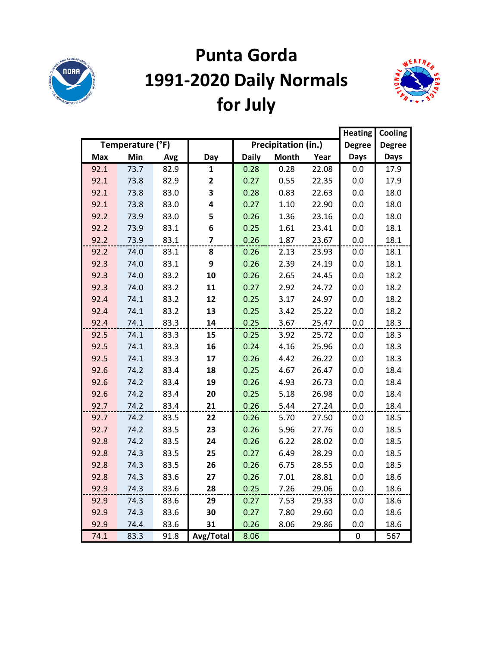

# **Punta Gorda 1991-2020 Daily Normals for July**



|            |                  |      |              |              |                     |       | <b>Heating</b> | Cooling       |
|------------|------------------|------|--------------|--------------|---------------------|-------|----------------|---------------|
|            | Temperature (°F) |      |              |              | Precipitation (in.) |       | <b>Degree</b>  | <b>Degree</b> |
| <b>Max</b> | Min              | Avg  | Day          | <b>Daily</b> | <b>Month</b>        | Year  | <b>Days</b>    | <b>Days</b>   |
| 92.1       | 73.7             | 82.9 | 1            | 0.28         | 0.28                | 22.08 | 0.0            | 17.9          |
| 92.1       | 73.8             | 82.9 | $\mathbf{2}$ | 0.27         | 0.55                | 22.35 | 0.0            | 17.9          |
| 92.1       | 73.8             | 83.0 | 3            | 0.28         | 0.83                | 22.63 | 0.0            | 18.0          |
| 92.1       | 73.8             | 83.0 | 4            | 0.27         | 1.10                | 22.90 | 0.0            | 18.0          |
| 92.2       | 73.9             | 83.0 | 5            | 0.26         | 1.36                | 23.16 | 0.0            | 18.0          |
| 92.2       | 73.9             | 83.1 | 6            | 0.25         | 1.61                | 23.41 | 0.0            | 18.1          |
| 92.2       | 73.9             | 83.1 | 7            | 0.26         | 1.87                | 23.67 | 0.0            | 18.1          |
| 92.2       | 74.0             | 83.1 | 8            | 0.26         | 2.13                | 23.93 | 0.0            | 18.1          |
| 92.3       | 74.0             | 83.1 | 9            | 0.26         | 2.39                | 24.19 | 0.0            | 18.1          |
| 92.3       | 74.0             | 83.2 | 10           | 0.26         | 2.65                | 24.45 | 0.0            | 18.2          |
| 92.3       | 74.0             | 83.2 | 11           | 0.27         | 2.92                | 24.72 | 0.0            | 18.2          |
| 92.4       | 74.1             | 83.2 | 12           | 0.25         | 3.17                | 24.97 | 0.0            | 18.2          |
| 92.4       | 74.1             | 83.2 | 13           | 0.25         | 3.42                | 25.22 | 0.0            | 18.2          |
| 92.4       | 74.1             | 83.3 | 14           | 0.25         | 3.67                | 25.47 | 0.0            | 18.3          |
| 92.5       | 74.1             | 83.3 | 15           | 0.25         | 3.92                | 25.72 | 0.0            | 18.3          |
| 92.5       | 74.1             | 83.3 | 16           | 0.24         | 4.16                | 25.96 | 0.0            | 18.3          |
| 92.5       | 74.1             | 83.3 | 17           | 0.26         | 4.42                | 26.22 | 0.0            | 18.3          |
| 92.6       | 74.2             | 83.4 | 18           | 0.25         | 4.67                | 26.47 | 0.0            | 18.4          |
| 92.6       | 74.2             | 83.4 | 19           | 0.26         | 4.93                | 26.73 | 0.0            | 18.4          |
| 92.6       | 74.2             | 83.4 | 20           | 0.25         | 5.18                | 26.98 | 0.0            | 18.4          |
| 92.7       | 74.2             | 83.4 | 21           | 0.26         | 5.44                | 27.24 | 0.0            | 18.4          |
| 92.7       | 74.2             | 83.5 | 22           | 0.26         | 5.70                | 27.50 | 0.0            | 18.5          |
| 92.7       | 74.2             | 83.5 | 23           | 0.26         | 5.96                | 27.76 | 0.0            | 18.5          |
| 92.8       | 74.2             | 83.5 | 24           | 0.26         | 6.22                | 28.02 | 0.0            | 18.5          |
| 92.8       | 74.3             | 83.5 | 25           | 0.27         | 6.49                | 28.29 | 0.0            | 18.5          |
| 92.8       | 74.3             | 83.5 | 26           | 0.26         | 6.75                | 28.55 | 0.0            | 18.5          |
| 92.8       | 74.3             | 83.6 | 27           | 0.26         | 7.01                | 28.81 | 0.0            | 18.6          |
| 92.9       | 74.3             | 83.6 | 28           | 0.25         | 7.26                | 29.06 | 0.0            | 18.6          |
| 92.9       | 74.3             | 83.6 | 29           | 0.27         | 7.53                | 29.33 | 0.0            | 18.6          |
| 92.9       | 74.3             | 83.6 | 30           | 0.27         | 7.80                | 29.60 | 0.0            | 18.6          |
| 92.9       | 74.4             | 83.6 | 31           | 0.26         | 8.06                | 29.86 | 0.0            | 18.6          |
| 74.1       | 83.3             | 91.8 | Avg/Total    | 8.06         |                     |       | 0              | 567           |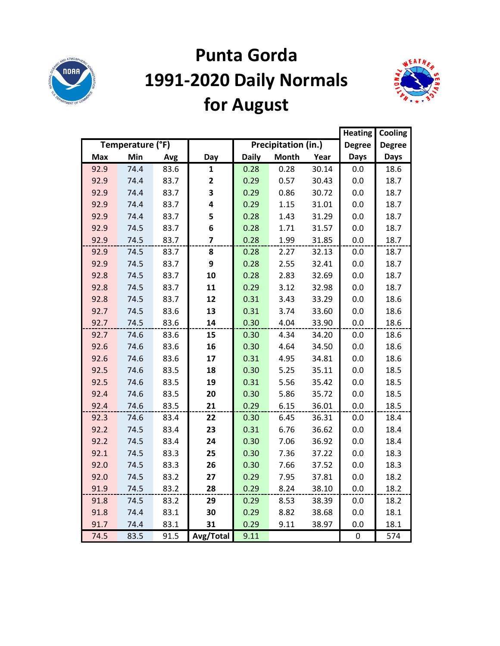

# **Punta Gorda 1991-2020 Daily Normals for August**



|            |                  |      |           |              |                     |       | <b>Heating</b> | Cooling       |
|------------|------------------|------|-----------|--------------|---------------------|-------|----------------|---------------|
|            | Temperature (°F) |      |           |              | Precipitation (in.) |       | <b>Degree</b>  | <b>Degree</b> |
| <b>Max</b> | Min              | Avg  | Day       | <b>Daily</b> | <b>Month</b>        | Year  | <b>Days</b>    | <b>Days</b>   |
| 92.9       | 74.4             | 83.6 | 1         | 0.28         | 0.28                | 30.14 | 0.0            | 18.6          |
| 92.9       | 74.4             | 83.7 | 2         | 0.29         | 0.57                | 30.43 | 0.0            | 18.7          |
| 92.9       | 74.4             | 83.7 | 3         | 0.29         | 0.86                | 30.72 | 0.0            | 18.7          |
| 92.9       | 74.4             | 83.7 | 4         | 0.29         | 1.15                | 31.01 | 0.0            | 18.7          |
| 92.9       | 74.4             | 83.7 | 5         | 0.28         | 1.43                | 31.29 | 0.0            | 18.7          |
| 92.9       | 74.5             | 83.7 | 6         | 0.28         | 1.71                | 31.57 | 0.0            | 18.7          |
| 92.9       | 74.5             | 83.7 | 7         | 0.28         | 1.99                | 31.85 | 0.0            | 18.7          |
| 92.9       | 74.5             | 83.7 | 8         | 0.28         | 2.27                | 32.13 | 0.0            | 18.7          |
| 92.9       | 74.5             | 83.7 | 9         | 0.28         | 2.55                | 32.41 | 0.0            | 18.7          |
| 92.8       | 74.5             | 83.7 | 10        | 0.28         | 2.83                | 32.69 | 0.0            | 18.7          |
| 92.8       | 74.5             | 83.7 | 11        | 0.29         | 3.12                | 32.98 | 0.0            | 18.7          |
| 92.8       | 74.5             | 83.7 | 12        | 0.31         | 3.43                | 33.29 | 0.0            | 18.6          |
| 92.7       | 74.5             | 83.6 | 13        | 0.31         | 3.74                | 33.60 | 0.0            | 18.6          |
| 92.7       | 74.5             | 83.6 | 14        | 0.30         | 4.04                | 33.90 | 0.0            | 18.6          |
| 92.7       | 74.6             | 83.6 | 15        | 0.30         | 4.34                | 34.20 | 0.0            | 18.6          |
| 92.6       | 74.6             | 83.6 | 16        | 0.30         | 4.64                | 34.50 | 0.0            | 18.6          |
| 92.6       | 74.6             | 83.6 | 17        | 0.31         | 4.95                | 34.81 | 0.0            | 18.6          |
| 92.5       | 74.6             | 83.5 | 18        | 0.30         | 5.25                | 35.11 | 0.0            | 18.5          |
| 92.5       | 74.6             | 83.5 | 19        | 0.31         | 5.56                | 35.42 | 0.0            | 18.5          |
| 92.4       | 74.6             | 83.5 | 20        | 0.30         | 5.86                | 35.72 | 0.0            | 18.5          |
| 92.4       | 74.6             | 83.5 | 21        | 0.29         | 6.15                | 36.01 | 0.0            | 18.5          |
| 92.3       | 74.6             | 83.4 | 22        | 0.30         | 6.45                | 36.31 | 0.0            | 18.4          |
| 92.2       | 74.5             | 83.4 | 23        | 0.31         | 6.76                | 36.62 | 0.0            | 18.4          |
| 92.2       | 74.5             | 83.4 | 24        | 0.30         | 7.06                | 36.92 | 0.0            | 18.4          |
| 92.1       | 74.5             | 83.3 | 25        | 0.30         | 7.36                | 37.22 | 0.0            | 18.3          |
| 92.0       | 74.5             | 83.3 | 26        | 0.30         | 7.66                | 37.52 | 0.0            | 18.3          |
| 92.0       | 74.5             | 83.2 | 27        | 0.29         | 7.95                | 37.81 | 0.0            | 18.2          |
| 91.9       | 74.5             | 83.2 | 28        | 0.29         | 8.24                | 38.10 | 0.0            | 18.2          |
| 91.8       | 74.5             | 83.2 | 29        | 0.29         | 8.53                | 38.39 | 0.0            | 18.2          |
| 91.8       | 74.4             | 83.1 | 30        | 0.29         | 8.82                | 38.68 | 0.0            | 18.1          |
| 91.7       | 74.4             | 83.1 | 31        | 0.29         | 9.11                | 38.97 | 0.0            | 18.1          |
| 74.5       | 83.5             | 91.5 | Avg/Total | 9.11         |                     |       | $\pmb{0}$      | 574           |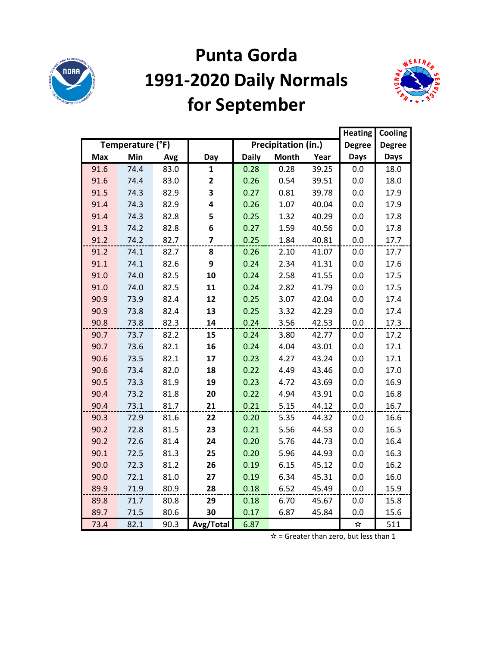

## **Punta Gorda 1991-2020 Daily Normals for September**



|            |                  |      |                         |              |                     |       | <b>Heating</b> | Cooling       |
|------------|------------------|------|-------------------------|--------------|---------------------|-------|----------------|---------------|
|            | Temperature (°F) |      |                         |              | Precipitation (in.) |       | <b>Degree</b>  | <b>Degree</b> |
| <b>Max</b> | Min              | Avg  | Day                     | <b>Daily</b> | <b>Month</b>        | Year  | <b>Days</b>    | <b>Days</b>   |
| 91.6       | 74.4             | 83.0 | 1                       | 0.28         | 0.28                | 39.25 | 0.0            | 18.0          |
| 91.6       | 74.4             | 83.0 | 2                       | 0.26         | 0.54                | 39.51 | 0.0            | 18.0          |
| 91.5       | 74.3             | 82.9 | 3                       | 0.27         | 0.81                | 39.78 | 0.0            | 17.9          |
| 91.4       | 74.3             | 82.9 | 4                       | 0.26         | 1.07                | 40.04 | 0.0            | 17.9          |
| 91.4       | 74.3             | 82.8 | 5                       | 0.25         | 1.32                | 40.29 | 0.0            | 17.8          |
| 91.3       | 74.2             | 82.8 | 6                       | 0.27         | 1.59                | 40.56 | 0.0            | 17.8          |
| 91.2       | 74.2             | 82.7 | $\overline{\mathbf{z}}$ | 0.25         | 1.84                | 40.81 | 0.0            | 17.7          |
| 91.2       | 74.1             | 82.7 | 8                       | 0.26         | 2.10                | 41.07 | 0.0            | 17.7          |
| 91.1       | 74.1             | 82.6 | 9                       | 0.24         | 2.34                | 41.31 | 0.0            | 17.6          |
| 91.0       | 74.0             | 82.5 | 10                      | 0.24         | 2.58                | 41.55 | 0.0            | 17.5          |
| 91.0       | 74.0             | 82.5 | 11                      | 0.24         | 2.82                | 41.79 | 0.0            | 17.5          |
| 90.9       | 73.9             | 82.4 | 12                      | 0.25         | 3.07                | 42.04 | 0.0            | 17.4          |
| 90.9       | 73.8             | 82.4 | 13                      | 0.25         | 3.32                | 42.29 | 0.0            | 17.4          |
| 90.8       | 73.8             | 82.3 | 14                      | 0.24         | 3.56                | 42.53 | 0.0            | 17.3          |
| 90.7       | 73.7             | 82.2 | 15                      | 0.24         | 3.80                | 42.77 | 0.0            | 17.2          |
| 90.7       | 73.6             | 82.1 | 16                      | 0.24         | 4.04                | 43.01 | 0.0            | 17.1          |
| 90.6       | 73.5             | 82.1 | 17                      | 0.23         | 4.27                | 43.24 | 0.0            | 17.1          |
| 90.6       | 73.4             | 82.0 | 18                      | 0.22         | 4.49                | 43.46 | 0.0            | 17.0          |
| 90.5       | 73.3             | 81.9 | 19                      | 0.23         | 4.72                | 43.69 | 0.0            | 16.9          |
| 90.4       | 73.2             | 81.8 | 20                      | 0.22         | 4.94                | 43.91 | 0.0            | 16.8          |
| 90.4       | 73.1             | 81.7 | 21                      | 0.21         | 5.15                | 44.12 | 0.0            | 16.7          |
| 90.3       | 72.9             | 81.6 | 22                      | 0.20         | 5.35                | 44.32 | 0.0            | 16.6          |
| 90.2       | 72.8             | 81.5 | 23                      | 0.21         | 5.56                | 44.53 | 0.0            | 16.5          |
| 90.2       | 72.6             | 81.4 | 24                      | 0.20         | 5.76                | 44.73 | 0.0            | 16.4          |
| 90.1       | 72.5             | 81.3 | 25                      | 0.20         | 5.96                | 44.93 | 0.0            | 16.3          |
| 90.0       | 72.3             | 81.2 | 26                      | 0.19         | 6.15                | 45.12 | 0.0            | 16.2          |
| 90.0       | 72.1             | 81.0 | 27                      | 0.19         | 6.34                | 45.31 | 0.0            | 16.0          |
| 89.9       | 71.9             | 80.9 | 28                      | 0.18         | 6.52                | 45.49 | 0.0            | 15.9          |
| 89.8       | 71.7             | 80.8 | 29                      | 0.18         | 6.70                | 45.67 | 0.0            | 15.8          |
| 89.7       | 71.5             | 80.6 | 30                      | 0.17         | 6.87                | 45.84 | 0.0            | 15.6          |
| 73.4       | 82.1             | 90.3 | Avg/Total               | 6.87         |                     |       | $\bigstar$     | 511           |

 $\hat{x}$  = Greater than zero, but less than 1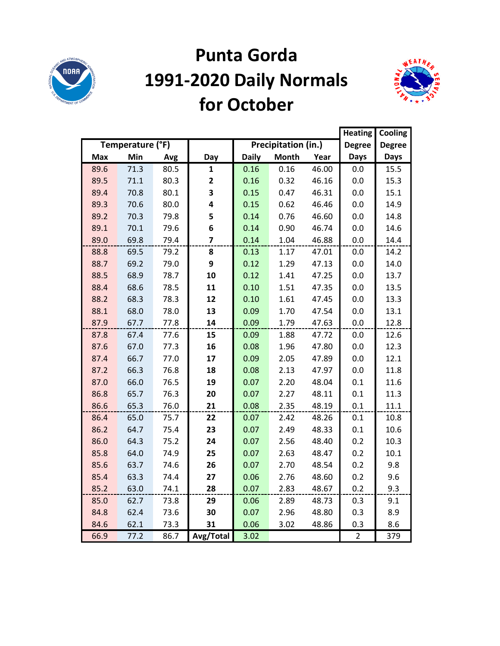

#### **Punta Gorda 1991-2020 Daily Normals for October**



|            |                  |      |                         |              |                     |       | <b>Heating</b> | Cooling       |
|------------|------------------|------|-------------------------|--------------|---------------------|-------|----------------|---------------|
|            | Temperature (°F) |      |                         |              | Precipitation (in.) |       | <b>Degree</b>  | <b>Degree</b> |
| <b>Max</b> | Min              | Avg  | Day                     | <b>Daily</b> | <b>Month</b>        | Year  | <b>Days</b>    | <b>Days</b>   |
| 89.6       | 71.3             | 80.5 | 1                       | 0.16         | 0.16                | 46.00 | 0.0            | 15.5          |
| 89.5       | 71.1             | 80.3 | $\mathbf{2}$            | 0.16         | 0.32                | 46.16 | 0.0            | 15.3          |
| 89.4       | 70.8             | 80.1 | 3                       | 0.15         | 0.47                | 46.31 | 0.0            | 15.1          |
| 89.3       | 70.6             | 80.0 | 4                       | 0.15         | 0.62                | 46.46 | 0.0            | 14.9          |
| 89.2       | 70.3             | 79.8 | 5                       | 0.14         | 0.76                | 46.60 | 0.0            | 14.8          |
| 89.1       | 70.1             | 79.6 | 6                       | 0.14         | 0.90                | 46.74 | 0.0            | 14.6          |
| 89.0       | 69.8             | 79.4 | $\overline{\mathbf{z}}$ | 0.14         | 1.04                | 46.88 | 0.0            | 14.4          |
| 88.8       | 69.5             | 79.2 | 8                       | 0.13         | 1.17                | 47.01 | 0.0            | 14.2          |
| 88.7       | 69.2             | 79.0 | 9                       | 0.12         | 1.29                | 47.13 | 0.0            | 14.0          |
| 88.5       | 68.9             | 78.7 | 10                      | 0.12         | 1.41                | 47.25 | 0.0            | 13.7          |
| 88.4       | 68.6             | 78.5 | 11                      | 0.10         | 1.51                | 47.35 | 0.0            | 13.5          |
| 88.2       | 68.3             | 78.3 | 12                      | 0.10         | 1.61                | 47.45 | 0.0            | 13.3          |
| 88.1       | 68.0             | 78.0 | 13                      | 0.09         | 1.70                | 47.54 | 0.0            | 13.1          |
| 87.9       | 67.7             | 77.8 | 14                      | 0.09         | 1.79                | 47.63 | 0.0            | 12.8          |
| 87.8       | 67.4             | 77.6 | 15                      | 0.09         | 1.88                | 47.72 | 0.0            | 12.6          |
| 87.6       | 67.0             | 77.3 | 16                      | 0.08         | 1.96                | 47.80 | 0.0            | 12.3          |
| 87.4       | 66.7             | 77.0 | 17                      | 0.09         | 2.05                | 47.89 | 0.0            | 12.1          |
| 87.2       | 66.3             | 76.8 | 18                      | 0.08         | 2.13                | 47.97 | 0.0            | 11.8          |
| 87.0       | 66.0             | 76.5 | 19                      | 0.07         | 2.20                | 48.04 | 0.1            | 11.6          |
| 86.8       | 65.7             | 76.3 | 20                      | 0.07         | 2.27                | 48.11 | 0.1            | 11.3          |
| 86.6       | 65.3             | 76.0 | 21                      | 0.08         | 2.35                | 48.19 | 0.1            | 11.1          |
| 86.4       | 65.0             | 75.7 | 22                      | 0.07         | 2.42                | 48.26 | 0.1            | 10.8          |
| 86.2       | 64.7             | 75.4 | 23                      | 0.07         | 2.49                | 48.33 | 0.1            | 10.6          |
| 86.0       | 64.3             | 75.2 | 24                      | 0.07         | 2.56                | 48.40 | 0.2            | 10.3          |
| 85.8       | 64.0             | 74.9 | 25                      | 0.07         | 2.63                | 48.47 | 0.2            | 10.1          |
| 85.6       | 63.7             | 74.6 | 26                      | 0.07         | 2.70                | 48.54 | 0.2            | 9.8           |
| 85.4       | 63.3             | 74.4 | 27                      | 0.06         | 2.76                | 48.60 | 0.2            | 9.6           |
| 85.2       | 63.0             | 74.1 | 28                      | 0.07         | 2.83                | 48.67 | 0.2            | 9.3           |
| 85.0       | 62.7             | 73.8 | 29                      | 0.06         | 2.89                | 48.73 | 0.3            | 9.1           |
| 84.8       | 62.4             | 73.6 | 30                      | 0.07         | 2.96                | 48.80 | 0.3            | 8.9           |
| 84.6       | 62.1             | 73.3 | 31                      | 0.06         | 3.02                | 48.86 | 0.3            | 8.6           |
| 66.9       | 77.2             | 86.7 | Avg/Total               | 3.02         |                     |       | $\overline{2}$ | 379           |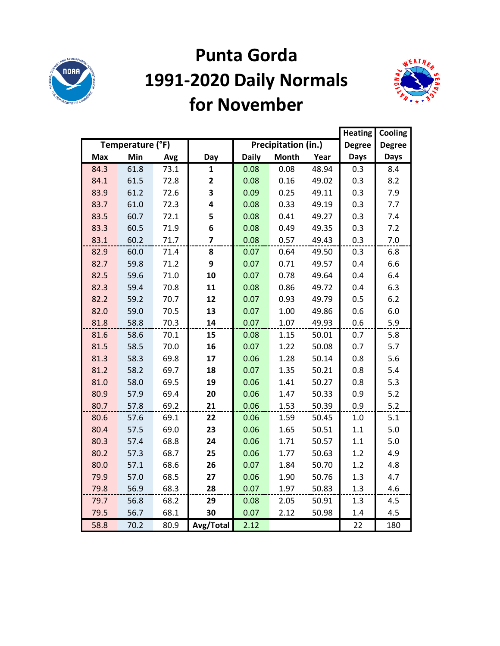

#### **Punta Gorda 1991-2020 Daily Normals for November**



|            |                  |      |                |              |                     |       | <b>Heating</b> | Cooling       |
|------------|------------------|------|----------------|--------------|---------------------|-------|----------------|---------------|
|            | Temperature (°F) |      |                |              | Precipitation (in.) |       | <b>Degree</b>  | <b>Degree</b> |
| <b>Max</b> | Min              | Avg  | Day            | <b>Daily</b> | <b>Month</b>        | Year  | <b>Days</b>    | <b>Days</b>   |
| 84.3       | 61.8             | 73.1 | $\mathbf{1}$   | 0.08         | 0.08                | 48.94 | 0.3            | 8.4           |
| 84.1       | 61.5             | 72.8 | $\mathbf{2}$   | 0.08         | 0.16                | 49.02 | 0.3            | 8.2           |
| 83.9       | 61.2             | 72.6 | 3              | 0.09         | 0.25                | 49.11 | 0.3            | 7.9           |
| 83.7       | 61.0             | 72.3 | 4              | 0.08         | 0.33                | 49.19 | 0.3            | 7.7           |
| 83.5       | 60.7             | 72.1 | 5              | 0.08         | 0.41                | 49.27 | 0.3            | 7.4           |
| 83.3       | 60.5             | 71.9 | 6              | 0.08         | 0.49                | 49.35 | 0.3            | 7.2           |
| 83.1       | 60.2             | 71.7 | $\overline{7}$ | 0.08         | 0.57                | 49.43 | 0.3            | 7.0           |
| 82.9       | 60.0             | 71.4 | 8              | 0.07         | 0.64                | 49.50 | 0.3            | 6.8           |
| 82.7       | 59.8             | 71.2 | 9              | 0.07         | 0.71                | 49.57 | 0.4            | 6.6           |
| 82.5       | 59.6             | 71.0 | 10             | 0.07         | 0.78                | 49.64 | 0.4            | 6.4           |
| 82.3       | 59.4             | 70.8 | 11             | 0.08         | 0.86                | 49.72 | 0.4            | 6.3           |
| 82.2       | 59.2             | 70.7 | 12             | 0.07         | 0.93                | 49.79 | 0.5            | 6.2           |
| 82.0       | 59.0             | 70.5 | 13             | 0.07         | 1.00                | 49.86 | 0.6            | 6.0           |
| 81.8       | 58.8             | 70.3 | 14             | 0.07         | 1.07                | 49.93 | 0.6            | 5.9           |
| 81.6       | 58.6             | 70.1 | 15             | 0.08         | 1.15                | 50.01 | 0.7            | 5.8           |
| 81.5       | 58.5             | 70.0 | 16             | 0.07         | 1.22                | 50.08 | 0.7            | 5.7           |
| 81.3       | 58.3             | 69.8 | 17             | 0.06         | 1.28                | 50.14 | 0.8            | 5.6           |
| 81.2       | 58.2             | 69.7 | 18             | 0.07         | 1.35                | 50.21 | 0.8            | 5.4           |
| 81.0       | 58.0             | 69.5 | 19             | 0.06         | 1.41                | 50.27 | 0.8            | 5.3           |
| 80.9       | 57.9             | 69.4 | 20             | 0.06         | 1.47                | 50.33 | 0.9            | 5.2           |
| 80.7       | 57.8             | 69.2 | 21             | 0.06         | 1.53                | 50.39 | 0.9            | 5.2           |
| 80.6       | 57.6             | 69.1 | 22             | 0.06         | 1.59                | 50.45 | $1.0\,$        | 5.1           |
| 80.4       | 57.5             | 69.0 | 23             | 0.06         | 1.65                | 50.51 | 1.1            | 5.0           |
| 80.3       | 57.4             | 68.8 | 24             | 0.06         | 1.71                | 50.57 | 1.1            | 5.0           |
| 80.2       | 57.3             | 68.7 | 25             | 0.06         | 1.77                | 50.63 | 1.2            | 4.9           |
| 80.0       | 57.1             | 68.6 | 26             | 0.07         | 1.84                | 50.70 | 1.2            | 4.8           |
| 79.9       | 57.0             | 68.5 | 27             | 0.06         | 1.90                | 50.76 | 1.3            | 4.7           |
| 79.8       | 56.9             | 68.3 | 28             | 0.07         | 1.97                | 50.83 | 1.3            | 4.6           |
| 79.7       | 56.8             | 68.2 | 29             | 0.08         | 2.05                | 50.91 | 1.3            | 4.5           |
| 79.5       | 56.7             | 68.1 | 30             | 0.07         | 2.12                | 50.98 | 1.4            | 4.5           |
| 58.8       | 70.2             | 80.9 | Avg/Total      | 2.12         |                     |       | 22             | 180           |